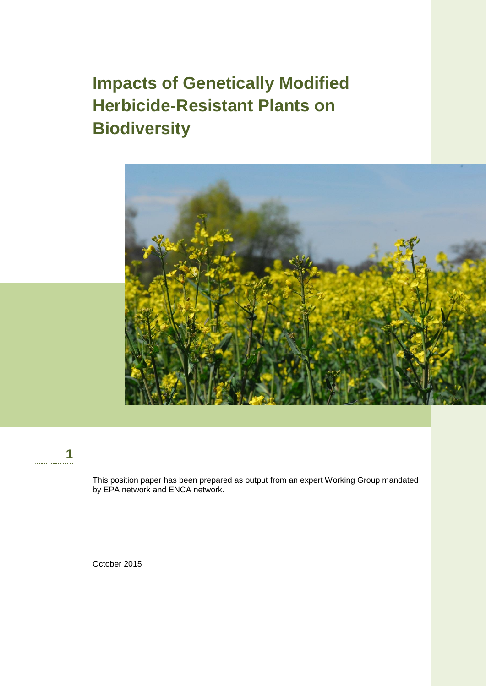# **Impacts of Genetically Modified Herbicide-Resistant Plants on Biodiversity**





This position paper has been prepared as output from an expert Working Group mandated by EPA network and ENCA network.

October 2015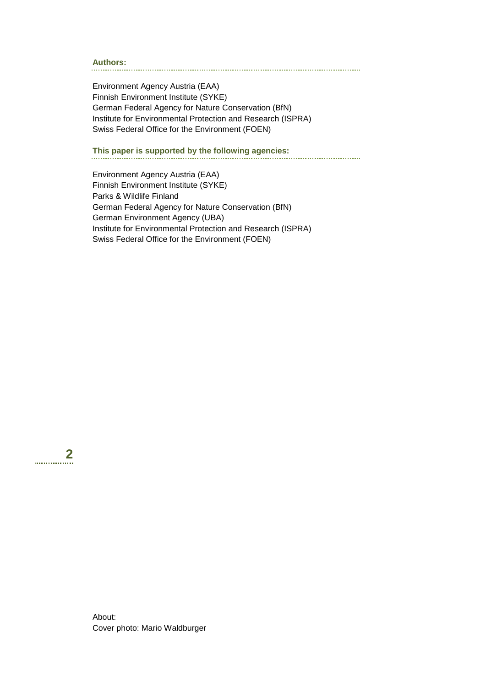### **Authors:**

Environment Agency Austria (EAA) Finnish Environment Institute (SYKE) German Federal Agency for Nature Conservation (BfN) Institute for Environmental Protection and Research (ISPRA) Swiss Federal Office for the Environment (FOEN)

**This paper is supported by the following agencies:** 

Environment Agency Austria (EAA) Finnish Environment Institute (SYKE) Parks & Wildlife Finland German Federal Agency for Nature Conservation (BfN) German Environment Agency (UBA) Institute for Environmental Protection and Research (ISPRA) Swiss Federal Office for the Environment (FOEN)

**2** . . . . . . . . . . . .

> About: Cover photo: Mario Waldburger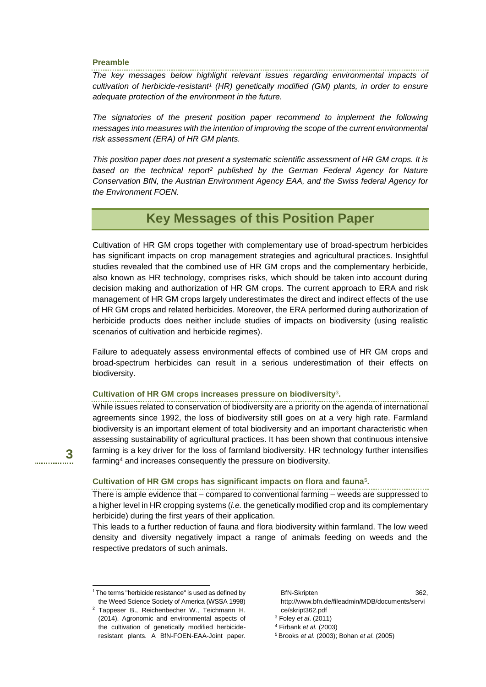### **Preamble**

**3**

. . . . . . . . . . . . . .

l

*The key messages below highlight relevant issues regarding environmental impacts of cultivation of herbicide-resistant<sup>1</sup> (HR) genetically modified (GM) plants, in order to ensure adequate protection of the environment in the future.*

*The signatories of the present position paper recommend to implement the following messages into measures with the intention of improving the scope of the current environmental risk assessment (ERA) of HR GM plants.* 

*This position paper does not present a systematic scientific assessment of HR GM crops. It is based on the technical report<sup>2</sup> published by the German Federal Agency for Nature Conservation BfN, the Austrian Environment Agency EAA, and the Swiss federal Agency for the Environment FOEN.*

### **Key Messages of this Position Paper**

Cultivation of HR GM crops together with complementary use of broad-spectrum herbicides has significant impacts on crop management strategies and agricultural practices. Insightful studies revealed that the combined use of HR GM crops and the complementary herbicide, also known as HR technology, comprises risks, which should be taken into account during decision making and authorization of HR GM crops. The current approach to ERA and risk management of HR GM crops largely underestimates the direct and indirect effects of the use of HR GM crops and related herbicides. Moreover, the ERA performed during authorization of herbicide products does neither include studies of impacts on biodiversity (using realistic scenarios of cultivation and herbicide regimes).

Failure to adequately assess environmental effects of combined use of HR GM crops and broad-spectrum herbicides can result in a serious underestimation of their effects on biodiversity.

#### **Cultivation of HR GM crops increases pressure on biodiversity**<sup>3</sup> **.**

While issues related to conservation of biodiversity are a priority on the agenda of international agreements since 1992, the loss of biodiversity still goes on at a very high rate. Farmland biodiversity is an important element of total biodiversity and an important characteristic when assessing sustainability of agricultural practices. It has been shown that continuous intensive farming is a key driver for the loss of farmland biodiversity. HR technology further intensifies farming<sup>4</sup> and increases consequently the pressure on biodiversity.

### **Cultivation of HR GM crops has significant impacts on flora and fauna**<sup>5</sup> **.**

There is ample evidence that – compared to conventional farming – weeds are suppressed to a higher level in HR cropping systems (*i.e.* the genetically modified crop and its complementary herbicide) during the first years of their application.

This leads to a further reduction of fauna and flora biodiversity within farmland. The low weed density and diversity negatively impact a range of animals feeding on weeds and the respective predators of such animals.

### BfN-Skripten 362, [http://www.bfn.de/fileadmin/MDB/documents/servi](http://www.bfn.de/fileadmin/MDB/documents/service/skript362.pdf)

<sup>&</sup>lt;sup>1</sup>The terms "herbicide resistance" is used as defined by the Weed Science Society of America (WSSA 1998)

<sup>2</sup> Tappeser B., Reichenbecher W., Teichmann H. (2014). Agronomic and environmental aspects of the cultivation of genetically modified herbicideresistant plants. A BfN-FOEN-EAA-Joint paper.

[ce/skript362.pdf](http://www.bfn.de/fileadmin/MDB/documents/service/skript362.pdf) <sup>3</sup> Foley *et al*. (2011)

<sup>4</sup> Firbank *et al.* (2003)

<sup>5</sup> Brooks *et al*. (2003); Bohan *et al*. (2005)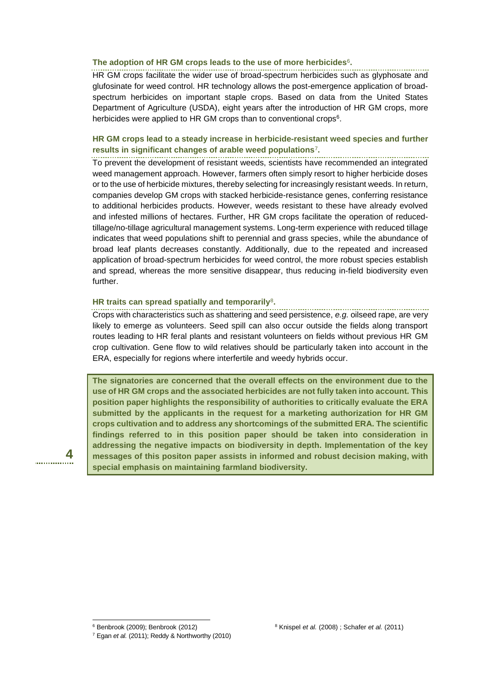#### The adoption of HR GM crops leads to the use of more herbicides<sup>6</sup>.

HR GM crops facilitate the wider use of broad-spectrum herbicides such as glyphosate and glufosinate for weed control. HR technology allows the post-emergence application of broadspectrum herbicides on important staple crops. Based on data from the United States Department of Agriculture (USDA), eight years after the introduction of HR GM crops, more herbicides were applied to HR GM crops than to conventional crops<sup>6</sup>.

### **HR GM crops lead to a steady increase in herbicide-resistant weed species and further results in significant changes of arable weed populations**<sup>7</sup> **.**

To prevent the development of resistant weeds, scientists have recommended an integrated weed management approach. However, farmers often simply resort to higher herbicide doses or to the use of herbicide mixtures, thereby selecting for increasingly resistant weeds. In return, companies develop GM crops with stacked herbicide-resistance genes, conferring resistance to additional herbicides products. However, weeds resistant to these have already evolved and infested millions of hectares. Further, HR GM crops facilitate the operation of reducedtillage/no-tillage agricultural management systems. Long-term experience with reduced tillage indicates that weed populations shift to perennial and grass species, while the abundance of broad leaf plants decreases constantly. Additionally, due to the repeated and increased application of broad-spectrum herbicides for weed control, the more robust species establish and spread, whereas the more sensitive disappear, thus reducing in-field biodiversity even further.

#### **HR traits can spread spatially and temporarily**<sup>8</sup> **.**

Crops with characteristics such as shattering and seed persistence, *e.g.* oilseed rape, are very likely to emerge as volunteers. Seed spill can also occur outside the fields along transport routes leading to HR feral plants and resistant volunteers on fields without previous HR GM crop cultivation. Gene flow to wild relatives should be particularly taken into account in the ERA, especially for regions where interfertile and weedy hybrids occur.

**The signatories are concerned that the overall effects on the environment due to the use of HR GM crops and the associated herbicides are not fully taken into account. This position paper highlights the responsibility of authorities to critically evaluate the ERA submitted by the applicants in the request for a marketing authorization for HR GM crops cultivation and to address any shortcomings of the submitted ERA. The scientific findings referred to in this position paper should be taken into consideration in addressing the negative impacts on biodiversity in depth. Implementation of the key messages of this positon paper assists in informed and robust decision making, with special emphasis on maintaining farmland biodiversity.**

**4**

l

<sup>6</sup> Benbrook (2009); Benbrook (2012)

<sup>7</sup> Egan *et al.* (2011); Reddy & Northworthy (2010)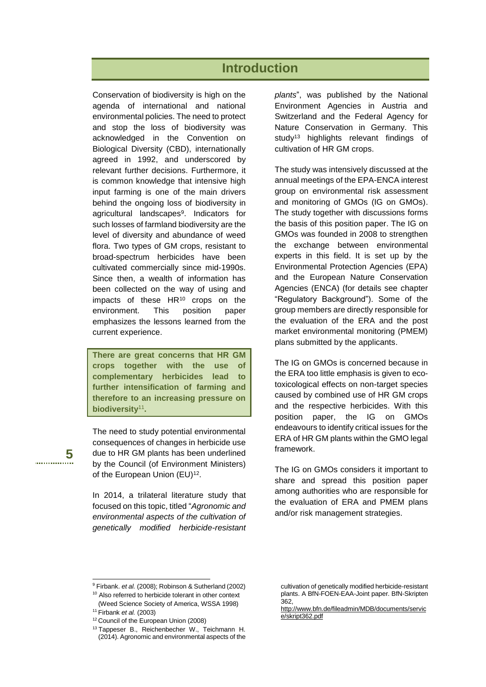### **Introduction**

Conservation of biodiversity is high on the agenda of international and national environmental policies. The need to protect and stop the loss of biodiversity was acknowledged in the Convention on Biological Diversity (CBD), internationally agreed in 1992, and underscored by relevant further decisions. Furthermore, it is common knowledge that intensive high input farming is one of the main drivers behind the ongoing loss of biodiversity in agricultural landscapes<sup>9</sup>. Indicators for such losses of farmland biodiversity are the level of diversity and abundance of weed flora. Two types of GM crops, resistant to broad-spectrum herbicides have been cultivated commercially since mid-1990s. Since then, a wealth of information has been collected on the way of using and impacts of these HR<sup>10</sup> crops on the environment. This position paper emphasizes the lessons learned from the current experience.

**There are great concerns that HR GM crops together with the use of complementary herbicides lead to further intensification of farming and therefore to an increasing pressure on biodiversity**<sup>11</sup> **.**

The need to study potential environmental consequences of changes in herbicide use due to HR GM plants has been underlined by the Council (of Environment Ministers) of the European Union (EU)<sup>12</sup>.

In 2014, a trilateral literature study that focused on this topic, titled "*Agronomic and environmental aspects of the cultivation of genetically modified herbicide-resistant*  *plants*", was published by the National Environment Agencies in Austria and Switzerland and the Federal Agency for Nature Conservation in Germany. This study<sup>13</sup> highlights relevant findings of cultivation of HR GM crops.

The study was intensively discussed at the annual meetings of the EPA-ENCA interest group on environmental risk assessment and monitoring of GMOs (IG on GMOs). The study together with discussions forms the basis of this position paper. The IG on GMOs was founded in 2008 to strengthen the exchange between environmental experts in this field. It is set up by the Environmental Protection Agencies (EPA) and the European Nature Conservation Agencies (ENCA) (for details see chapter "Regulatory Background"). Some of the group members are directly responsible for the evaluation of the ERA and the post market environmental monitoring (PMEM) plans submitted by the applicants.

The IG on GMOs is concerned because in the ERA too little emphasis is given to ecotoxicological effects on non-target species caused by combined use of HR GM crops and the respective herbicides. With this position paper, the IG on GMOs endeavours to identify critical issues for the ERA of HR GM plants within the GMO legal framework.

The IG on GMOs considers it important to share and spread this position paper among authorities who are responsible for the evaluation of ERA and PMEM plans and/or risk management strategies.

**5** . . . . . . . . . . . . .

l

<sup>9</sup> Firbank. *et al.* (2008); Robinson & Sutherland (2002)

<sup>&</sup>lt;sup>10</sup> Also referred to herbicide tolerant in other context (Weed Science Society of America, WSSA 1998) <sup>11</sup> Firbank *et al.* (2003)

<sup>&</sup>lt;sup>12</sup> Council of the European Union (2008)

<sup>&</sup>lt;sup>13</sup> Tappeser B., Reichenbecher W., Teichmann H. (2014). Agronomic and environmental aspects of the

cultivation of genetically modified herbicide-resistant plants. A BfN-FOEN-EAA-Joint paper. BfN-Skripten 362,

[http://www.bfn.de/fileadmin/MDB/documents/servic](http://www.bfn.de/fileadmin/MDB/documents/service/skript362.pdf) [e/skript362.pdf](http://www.bfn.de/fileadmin/MDB/documents/service/skript362.pdf)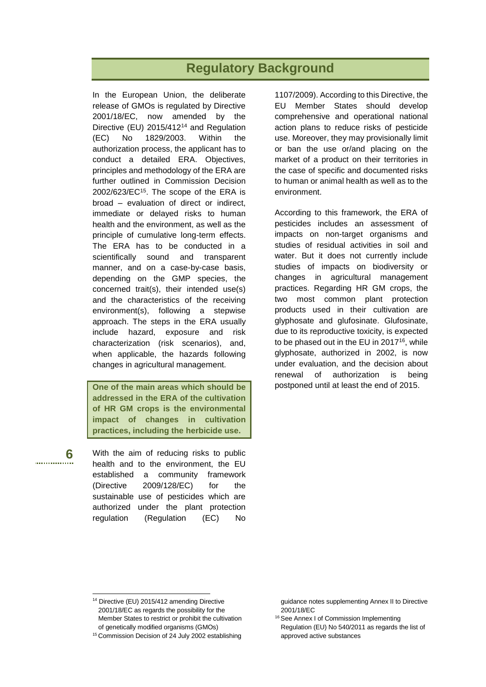# **Regulatory Background**

In the European Union, the deliberate release of GMOs is regulated by Directive 2001/18/EC, now amended by the Directive (EU) 2015/412<sup>14</sup> and Regulation (EC) No 1829/2003. Within the authorization process, the applicant has to conduct a detailed ERA. Objectives, principles and methodology of the ERA are further outlined in Commission Decision 2002/623/EC<sup>15</sup>. The scope of the ERA is broad – evaluation of direct or indirect, immediate or delayed risks to human health and the environment, as well as the principle of cumulative long-term effects. The ERA has to be conducted in a scientifically sound and transparent manner, and on a case-by-case basis, depending on the GMP species, the concerned trait(s), their intended use(s) and the characteristics of the receiving environment(s), following a stepwise approach. The steps in the ERA usually include hazard, exposure and risk characterization (risk scenarios), and, when applicable, the hazards following changes in agricultural management.

**One of the main areas which should be addressed in the ERA of the cultivation of HR GM crops is the environmental impact of changes in cultivation practices, including the herbicide use.**

With the aim of reducing risks to public health and to the environment, the EU established a community framework (Directive 2009/128/EC) for the sustainable use of pesticides which are authorized under the plant protection regulation (Regulation (EC) No

**6**

. . . . . . . . . . . . . .

l

1107/2009). According to this Directive, the EU Member States should develop comprehensive and operational national action plans to reduce risks of pesticide use. Moreover, they may provisionally limit or ban the use or/and placing on the market of a product on their territories in the case of specific and documented risks to human or animal health as well as to the environment.

According to this framework, the ERA of pesticides includes an assessment of impacts on non-target organisms and studies of residual activities in soil and water. But it does not currently include studies of impacts on biodiversity or changes in agricultural management practices. Regarding HR GM crops, the two most common plant protection products used in their cultivation are glyphosate and glufosinate. Glufosinate, due to its reproductive toxicity, is expected to be phased out in the EU in 2017<sup>16</sup>, while glyphosate, authorized in 2002, is now under evaluation, and the decision about renewal of authorization is being postponed until at least the end of 2015.

<sup>&</sup>lt;sup>14</sup> Directive (EU) 2015/412 amending Directive 2001/18/EC as regards the possibility for the Member States to restrict or prohibit the cultivation of genetically modified organisms (GMOs)

<sup>&</sup>lt;sup>15</sup> Commission Decision of 24 July 2002 establishing

guidance notes supplementing Annex II to Directive 2001/18/EC

<sup>&</sup>lt;sup>16</sup> See Annex I of Commission Implementing Regulation (EU) No 540/2011 as regards the list of approved active substances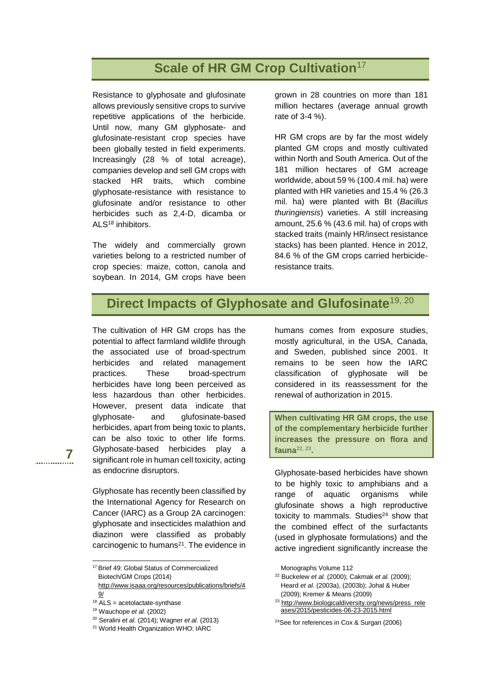# **Scale of HR GM Crop Cultivation**<sup>17</sup>

Resistance to glyphosate and glufosinate allows previously sensitive crops to survive repetitive applications of the herbicide. Until now, many GM glyphosate- and glufosinate-resistant crop species have been globally tested in field experiments. Increasingly (28 % of total acreage), companies develop and sell GM crops with stacked HR traits, which combine glyphosate-resistance with resistance to glufosinate and/or resistance to other herbicides such as 2,4-D, dicamba or ALS<sup>18</sup> inhibitors.

The widely and commercially grown varieties belong to a restricted number of crop species: maize, cotton, canola and soybean. In 2014, GM crops have been

grown in 28 countries on more than 181 million hectares (average annual growth rate of 3-4 %).

HR GM crops are by far the most widely planted GM crops and mostly cultivated within North and South America. Out of the 181 million hectares of GM acreage worldwide, about 59 % (100.4 mil. ha) were planted with HR varieties and 15.4 % (26.3 mil. ha) were planted with Bt (*Bacillus thuringiensis*) varieties. A still increasing amount, 25.6 % (43.6 mil. ha) of crops with stacked traits (mainly HR/insect resistance stacks) has been planted. Hence in 2012, 84.6 % of the GM crops carried herbicideresistance traits.

# **Direct Impacts of Glyphosate and Glufosinate**19, 20

The cultivation of HR GM crops has the potential to affect farmland wildlife through the associated use of broad-spectrum herbicides and related management practices. These broad-spectrum herbicides have long been perceived as less hazardous than other herbicides. However, present data indicate that glyphosate- and glufosinate-based herbicides, apart from being toxic to plants, can be also toxic to other life forms. Glyphosate-based herbicides play a significant role in human cell toxicity, acting as endocrine disruptors.

Glyphosate has recently been classified by

**7**

. . . . . . . . . . . . .

l

the International Agency for Research on Cancer (IARC) as a Group 2A carcinogen: glyphosate and insecticides malathion and diazinon were classified as probably carcinogenic to humans<sup>21</sup>. The evidence in humans comes from exposure studies, mostly agricultural, in the USA, Canada, and Sweden, published since 2001. It remains to be seen how the IARC classification of glyphosate will be considered in its reassessment for the renewal of authorization in 2015.

**When cultivating HR GM crops, the use of the complementary herbicide further increases the pressure on flora and fauna**22, 23 **.**

Glyphosate-based herbicides have shown to be highly toxic to amphibians and a range of aquatic organisms while glufosinate shows a high reproductive toxicity to mammals. Studies<sup>24</sup> show that the combined effect of the surfactants (used in glyphosate formulations) and the active ingredient significantly increase the

<sup>22</sup> Buckelew *et al.* (2000); Cakmak *et al.* (2009); Heard *et al.* (2003a), (2003b); Johal & Huber (2009); Kremer & Means (2009)

<sup>&</sup>lt;sup>17</sup> Brief 49: Global Status of Commercialized Biotech/GM Crops (2014)

[http://www.isaaa.org/resources/publications/briefs/4](http://www.isaaa.org/resources/publications/briefs/49/) [9/](http://www.isaaa.org/resources/publications/briefs/49/)

 $18$  ALS = acetolactate-synthase

<sup>19</sup> Wauchope *et al.* (2002)

<sup>20</sup> Seralini *et al.* (2014); Wagner *et al.* (2013)

<sup>21</sup> World Health Organization WHO: IARC

Monographs Volume 112

<sup>&</sup>lt;sup>23</sup> http://www.biologicaldiversity.org/news/press\_rele [ases/2015/pesticides-06-23-2015.html](http://www.biologicaldiversity.org/news/press_releases/2015/pesticides-06-23-2015.html)

<sup>24</sup>See for references in Cox & Surgan (2006)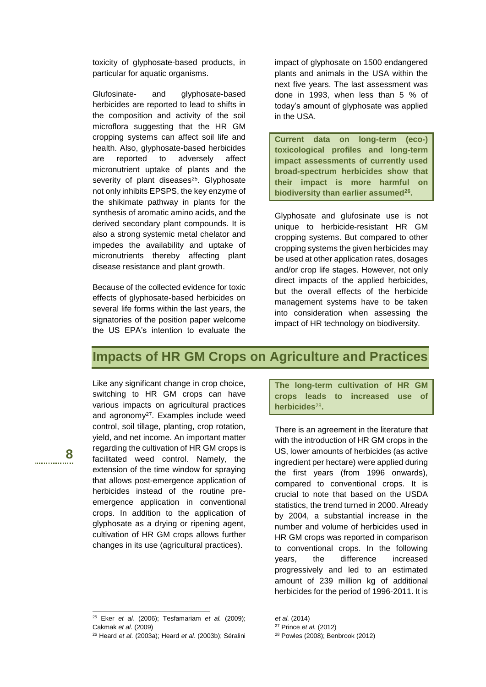toxicity of glyphosate-based products, in particular for aquatic organisms.

Glufosinate- and glyphosate-based herbicides are reported to lead to shifts in the composition and activity of the soil microflora suggesting that the HR GM cropping systems can affect soil life and health. Also, glyphosate-based herbicides are reported to adversely affect micronutrient uptake of plants and the severity of plant diseases<sup>25</sup>. Glyphosate not only inhibits EPSPS, the key enzyme of the shikimate pathway in plants for the synthesis of aromatic amino acids, and the derived secondary plant compounds. It is also a strong systemic metal chelator and impedes the availability and uptake of micronutrients thereby affecting plant disease resistance and plant growth.

Because of the collected evidence for toxic effects of glyphosate-based herbicides on several life forms within the last years, the signatories of the position paper welcome the US EPA's intention to evaluate the

impact of glyphosate on 1500 endangered plants and animals in the USA within the next five years. The last assessment was done in 1993, when less than 5 % of today's amount of glyphosate was applied in the USA.

**Current data on long-term (eco-) toxicological profiles and long-term impact assessments of currently used broad-spectrum herbicides show that their impact is more harmful on biodiversity than earlier assumed<sup>26</sup> .**

Glyphosate and glufosinate use is not unique to herbicide-resistant HR GM cropping systems. But compared to other cropping systems the given herbicides may be used at other application rates, dosages and/or crop life stages. However, not only direct impacts of the applied herbicides, but the overall effects of the herbicide management systems have to be taken into consideration when assessing the impact of HR technology on biodiversity.

### **Impacts of HR GM Crops on Agriculture and Practices**

Like any significant change in crop choice, switching to HR GM crops can have various impacts on agricultural practices and agronomy<sup>27</sup>. Examples include weed control, soil tillage, planting, crop rotation, yield, and net income. An important matter regarding the cultivation of HR GM crops is facilitated weed control. Namely, the extension of the time window for spraying that allows post-emergence application of herbicides instead of the routine preemergence application in conventional crops. In addition to the application of glyphosate as a drying or ripening agent, cultivation of HR GM crops allows further changes in its use (agricultural practices).

**8**

. . . . . . . . . . . . . .

l

**The long-term cultivation of HR GM crops leads to increased use of**  herbicides<sup>28</sup>.

There is an agreement in the literature that with the introduction of HR GM crops in the US, lower amounts of herbicides (as active ingredient per hectare) were applied during the first years (from 1996 onwards), compared to conventional crops. It is crucial to note that based on the USDA statistics, the trend turned in 2000. Already by 2004, a substantial increase in the number and volume of herbicides used in HR GM crops was reported in comparison to conventional crops. In the following years, the difference increased progressively and led to an estimated amount of 239 million kg of additional herbicides for the period of 1996-2011. It is

<sup>25</sup> Eker *et al.* (2006); Tesfamariam *et al.* (2009); Cakmak *et al*. (2009)

<sup>26</sup> Heard *et al*. (2003a); Heard *et al.* (2003b); Séralini

*et al.* (2014)

<sup>27</sup> Prince *et al.* (2012)

<sup>28</sup> Powles (2008); Benbrook (2012)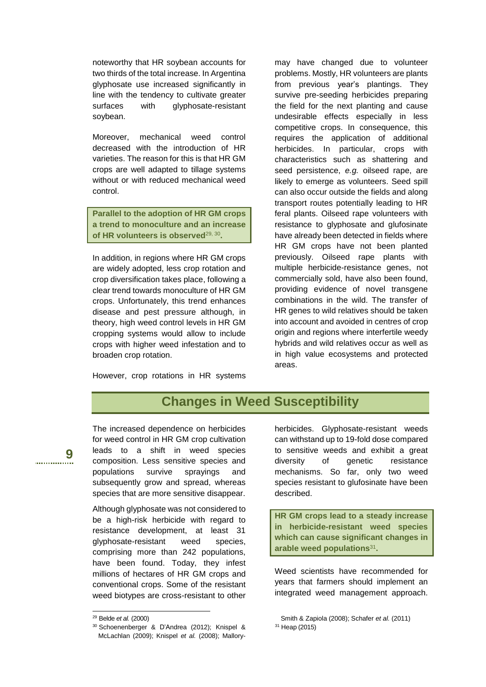noteworthy that HR soybean accounts for two thirds of the total increase. In Argentina glyphosate use increased significantly in line with the tendency to cultivate greater surfaces with glyphosate-resistant soybean.

Moreover, mechanical weed control decreased with the introduction of HR varieties. The reason for this is that HR GM crops are well adapted to tillage systems without or with reduced mechanical weed control.

**Parallel to the adoption of HR GM crops a trend to monoculture and an increase of HR volunteers is observed**29, <sup>30</sup> **.**

In addition, in regions where HR GM crops are widely adopted, less crop rotation and crop diversification takes place, following a clear trend towards monoculture of HR GM crops. Unfortunately, this trend enhances disease and pest pressure although, in theory, high weed control levels in HR GM cropping systems would allow to include crops with higher weed infestation and to broaden crop rotation.

However, crop rotations in HR systems

may have changed due to volunteer problems. Mostly, HR volunteers are plants from previous year's plantings. They survive pre-seeding herbicides preparing the field for the next planting and cause undesirable effects especially in less competitive crops. In consequence, this requires the application of additional herbicides. In particular, crops with characteristics such as shattering and seed persistence, *e.g.* oilseed rape, are likely to emerge as volunteers. Seed spill can also occur outside the fields and along transport routes potentially leading to HR feral plants. Oilseed rape volunteers with resistance to glyphosate and glufosinate have already been detected in fields where HR GM crops have not been planted previously. Oilseed rape plants with multiple herbicide-resistance genes, not commercially sold, have also been found, providing evidence of novel transgene combinations in the wild. The transfer of HR genes to wild relatives should be taken into account and avoided in centres of crop origin and regions where interfertile weedy hybrids and wild relatives occur as well as in high value ecosystems and protected areas.

## **Changes in Weed Susceptibility**

The increased dependence on herbicides for weed control in HR GM crop cultivation leads to a shift in weed species composition. Less sensitive species and populations survive sprayings and subsequently grow and spread, whereas species that are more sensitive disappear.

Although glyphosate was not considered to be a high-risk herbicide with regard to resistance development, at least 31 glyphosate-resistant weed species, comprising more than 242 populations, have been found. Today, they infest millions of hectares of HR GM crops and conventional crops. Some of the resistant weed biotypes are cross-resistant to other

l

herbicides. Glyphosate-resistant weeds can withstand up to 19-fold dose compared to sensitive weeds and exhibit a great diversity of genetic resistance mechanisms. So far, only two weed species resistant to glufosinate have been described.

**HR GM crops lead to a steady increase in herbicide-resistant weed species which can cause significant changes in arable weed populations**<sup>31</sup> **.**

Weed scientists have recommended for years that farmers should implement an integrated weed management approach.

**9**

. . . . . . . . . . . . . .

<sup>29</sup> Belde *et al.* (2000)

<sup>30</sup> .Schoenenberger & D'Andrea (2012); Knispel & McLachlan (2009); Knispel *et al.* (2008); Mallory-

Smith & Zapiola (2008); Schafer *et al.* (2011) <sup>31</sup> Heap (2015)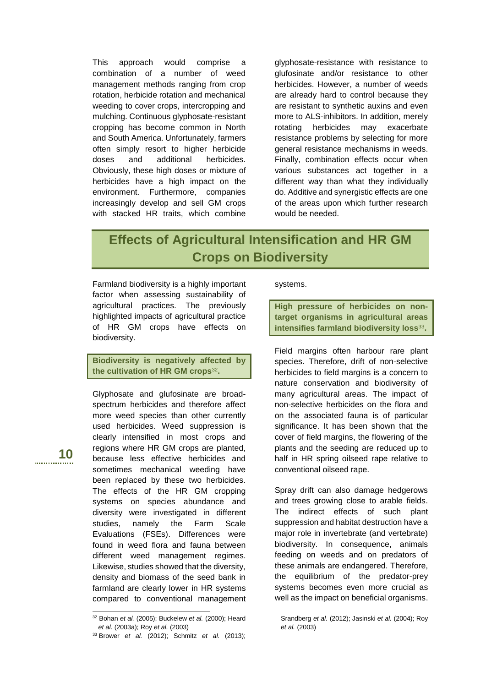This approach would comprise a combination of a number of weed management methods ranging from crop rotation, herbicide rotation and mechanical weeding to cover crops, intercropping and mulching. Continuous glyphosate-resistant cropping has become common in North and South America. Unfortunately, farmers often simply resort to higher herbicide doses and additional herbicides. Obviously, these high doses or mixture of herbicides have a high impact on the environment. Furthermore, companies increasingly develop and sell GM crops with stacked HR traits, which combine

glyphosate-resistance with resistance to glufosinate and/or resistance to other herbicides. However, a number of weeds are already hard to control because they are resistant to synthetic auxins and even more to ALS-inhibitors. In addition, merely rotating herbicides may exacerbate resistance problems by selecting for more general resistance mechanisms in weeds. Finally, combination effects occur when various substances act together in a different way than what they individually do. Additive and synergistic effects are one of the areas upon which further research would be needed.

# **Effects of Agricultural Intensification and HR GM Crops on Biodiversity**

Farmland biodiversity is a highly important factor when assessing sustainability of agricultural practices. The previously highlighted impacts of agricultural practice of HR GM crops have effects on biodiversity.

**Biodiversity is negatively affected by the cultivation of HR GM crops**<sup>32</sup> **.**

Glyphosate and glufosinate are broadspectrum herbicides and therefore affect more weed species than other currently used herbicides. Weed suppression is clearly intensified in most crops and regions where HR GM crops are planted, because less effective herbicides and sometimes mechanical weeding have been replaced by these two herbicides. The effects of the HR GM cropping systems on species abundance and diversity were investigated in different studies, namely the Farm Scale Evaluations (FSEs). Differences were found in weed flora and fauna between different weed management regimes. Likewise, studies showed that the diversity, density and biomass of the seed bank in farmland are clearly lower in HR systems compared to conventional management

### systems.

**High pressure of herbicides on nontarget organisms in agricultural areas intensifies farmland biodiversity loss**<sup>33</sup> **.**

Field margins often harbour rare plant species. Therefore, drift of non-selective herbicides to field margins is a concern to nature conservation and biodiversity of many agricultural areas. The impact of non-selective herbicides on the flora and on the associated fauna is of particular significance. It has been shown that the cover of field margins, the flowering of the plants and the seeding are reduced up to half in HR spring oilseed rape relative to conventional oilseed rape.

Spray drift can also damage hedgerows and trees growing close to arable fields. The indirect effects of such plant suppression and habitat destruction have a major role in invertebrate (and vertebrate) biodiversity. In consequence, animals feeding on weeds and on predators of these animals are endangered. Therefore, the equilibrium of the predator-prey systems becomes even more crucial as well as the impact on beneficial organisms.

**10**

l

<sup>32</sup> Bohan *et al.* (2005); Buckelew *et al.* (2000); Heard *et al.* (2003a); Roy *et al.* (2003)

<sup>33</sup> .Brower *et al.* (2012); Schmitz *et al.* (2013);

Srandberg *et al.* (2012); Jasinski *et al.* (2004); Roy *et al.* (2003)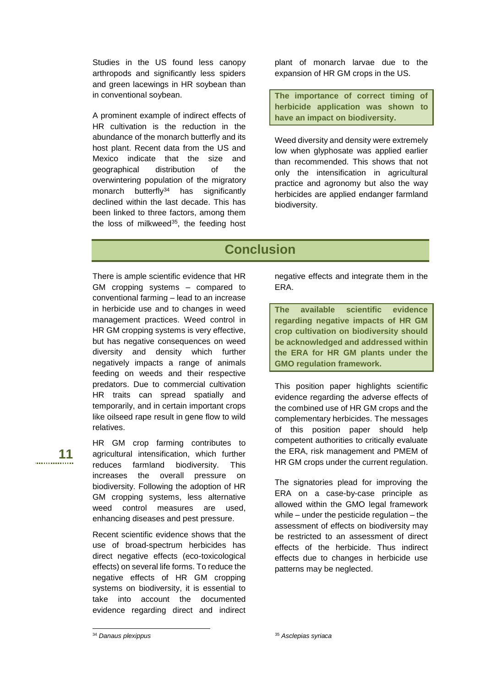Studies in the US found less canopy arthropods and significantly less spiders and green lacewings in HR soybean than in conventional soybean.

A prominent example of indirect effects of HR cultivation is the reduction in the abundance of the monarch butterfly and its host plant. Recent data from the US and Mexico indicate that the size and geographical distribution of the overwintering population of the migratory monarch butterfly<sup>34</sup> has significantly declined within the last decade. This has been linked to three factors, among them the loss of milkweed<sup>35</sup>, the feeding host

plant of monarch larvae due to the expansion of HR GM crops in the US.

**The importance of correct timing of herbicide application was shown to have an impact on biodiversity.**

Weed diversity and density were extremely low when glyphosate was applied earlier than recommended. This shows that not only the intensification in agricultural practice and agronomy but also the way herbicides are applied endanger farmland biodiversity.

# **Conclusion**

There is ample scientific evidence that HR GM cropping systems – compared to conventional farming – lead to an increase in herbicide use and to changes in weed management practices. Weed control in HR GM cropping systems is very effective, but has negative consequences on weed diversity and density which further negatively impacts a range of animals feeding on weeds and their respective predators. Due to commercial cultivation HR traits can spread spatially and temporarily, and in certain important crops like oilseed rape result in gene flow to wild relatives.

HR GM crop farming contributes to agricultural intensification, which further reduces farmland biodiversity. This increases the overall pressure on biodiversity. Following the adoption of HR GM cropping systems, less alternative weed control measures are used, enhancing diseases and pest pressure.

Recent scientific evidence shows that the use of broad-spectrum herbicides has direct negative effects (eco-toxicological effects) on several life forms. To reduce the negative effects of HR GM cropping systems on biodiversity, it is essential to take into account the documented evidence regarding direct and indirect

negative effects and integrate them in the ERA.

**The available scientific evidence regarding negative impacts of HR GM crop cultivation on biodiversity should be acknowledged and addressed within the ERA for HR GM plants under the GMO regulation framework.**

This position paper highlights scientific evidence regarding the adverse effects of the combined use of HR GM crops and the complementary herbicides. The messages of this position paper should help competent authorities to critically evaluate the ERA, risk management and PMEM of HR GM crops under the current regulation.

The signatories plead for improving the ERA on a case-by-case principle as allowed within the GMO legal framework while – under the pesticide regulation – the assessment of effects on biodiversity may be restricted to an assessment of direct effects of the herbicide. Thus indirect effects due to changes in herbicide use patterns may be neglected.

l <sup>34</sup> *Danaus plexippus*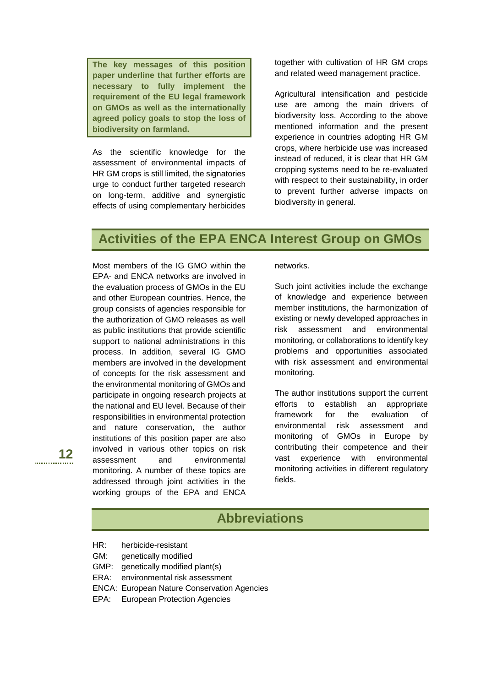**The key messages of this position paper underline that further efforts are necessary to fully implement the requirement of the EU legal framework on GMOs as well as the internationally agreed policy goals to stop the loss of biodiversity on farmland.**

As the scientific knowledge for the assessment of environmental impacts of HR GM crops is still limited, the signatories urge to conduct further targeted research on long-term, additive and synergistic effects of using complementary herbicides

together with cultivation of HR GM crops and related weed management practice.

Agricultural intensification and pesticide use are among the main drivers of biodiversity loss. According to the above mentioned information and the present experience in countries adopting HR GM crops, where herbicide use was increased instead of reduced, it is clear that HR GM cropping systems need to be re-evaluated with respect to their sustainability, in order to prevent further adverse impacts on biodiversity in general.

## **Activities of the EPA ENCA Interest Group on GMOs**

Most members of the IG GMO within the EPA- and ENCA networks are involved in the evaluation process of GMOs in the EU and other European countries. Hence, the group consists of agencies responsible for the authorization of GMO releases as well as public institutions that provide scientific support to national administrations in this process. In addition, several IG GMO members are involved in the development of concepts for the risk assessment and the environmental monitoring of GMOs and participate in ongoing research projects at the national and EU level. Because of their responsibilities in environmental protection and nature conservation, the author institutions of this position paper are also involved in various other topics on risk assessment and environmental monitoring. A number of these topics are addressed through joint activities in the working groups of the EPA and ENCA

networks.

Such joint activities include the exchange of knowledge and experience between member institutions, the harmonization of existing or newly developed approaches in risk assessment and environmental monitoring, or collaborations to identify key problems and opportunities associated with risk assessment and environmental monitoring.

The author institutions support the current efforts to establish an appropriate framework for the evaluation of environmental risk assessment and monitoring of GMOs in Europe by contributing their competence and their vast experience with environmental monitoring activities in different regulatory fields.

# **Abbreviations**

- HR: herbicide-resistant
- GM: genetically modified
- GMP: genetically modified plant(s)
- ERA: environmental risk assessment
- ENCA: European Nature Conservation Agencies
- EPA: European Protection Agencies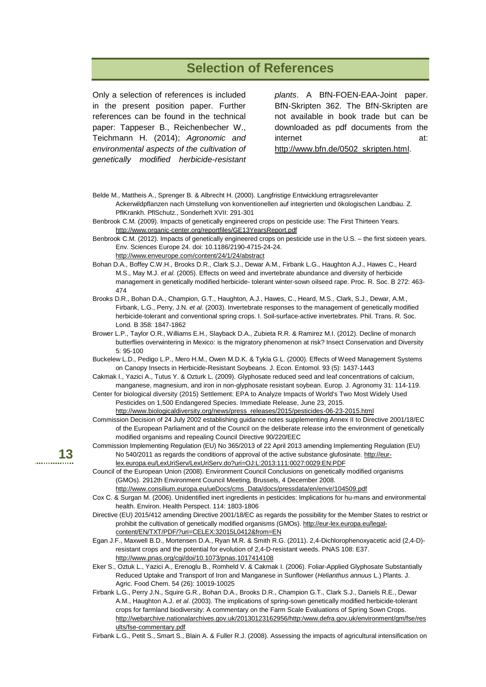### **Selection of References**

Only a selection of references is included in the present position paper. Further references can be found in the technical paper: Tappeser B., Reichenbecher W., Teichmann H. (2014); *Agronomic and environmental aspects of the cultivation of genetically modified herbicide-resistant* 

*plants*. A BfN-FOEN-EAA-Joint paper. BfN-Skripten 362. The BfN-Skripten are not available in book trade but can be downloaded as pdf documents from the internet at: [http://www.bfn.de/0502\\_skripten.html.](http://www.bfn.de/0502_skripten.html)

Belde M., Mattheis A., Sprenger B. & Albrecht H. (2000). Langfristige Entwicklung ertragsrelevanter

Ackerwildpflanzen nach Umstellung von konventionellen auf integrierten und ökologischen Landbau. Z. PflKrankh. PflSchutz., Sonderheft XVII: 291-301

Benbrook C.M. (2009). Impacts of genetically engineered crops on pesticide use: The First Thirteen Years. <http://www.organic-center.org/reportfiles/GE13YearsReport.pdf>

Benbrook C.M. (2012). Impacts of genetically engineered crops on pesticide use in the U.S. – the first sixteen years. Env. Sciences Europe 24. doi: 10.1186/2190-4715-24-24.

<http://www.enveurope.com/content/24/1/24/abstract>

Bohan D.A., Boffey C.W.H., Brooks D.R., Clark S.J., Dewar A.M., Firbank L.G., Haughton A.J., Hawes C., Heard M.S., May M.J. *et al.* (2005). Effects on weed and invertebrate abundance and diversity of herbicide management in genetically modified herbicide- tolerant winter-sown oilseed rape. Proc. R. Soc. B 272: 463- 474

- Brooks D.R., Bohan D.A., Champion, G.T., Haughton, A.J., Hawes, C., Heard, M.S., Clark, S.J., Dewar, A.M., Firbank, L.G., Perry, J.N. *et al.* (2003). Invertebrate responses to the management of genetically modified herbicide-tolerant and conventional spring crops. I. Soil-surface-active invertebrates. Phil. Trans. R. Soc. Lond. B 358: 1847-1862
- Brower L.P., Taylor O.R., Williams E.H., Slayback D.A., Zubieta R.R. & Ramirez M.I. (2012). Decline of monarch butterflies overwintering in Mexico: is the migratory phenomenon at risk? Insect Conservation and Diversity 5: 95-100
- Buckelew L.D., Pedigo L.P., Mero H.M., Owen M.D.K. & Tykla G.L. (2000). Effects of Weed Management Systems on Canopy Insects in Herbicide-Resistant Soybeans. J. Econ. Entomol. 93 (5): 1437-1443
- Cakmak I., Yazici A., Tutus Y. & Ozturk L. (2009). Glyphosate reduced seed and leaf concentrations of calcium, manganese, magnesium, and iron in non-glyphosate resistant soybean. Europ. J. Agronomy 31: 114-119.
- Center for biological diversity (2015) Settlement: EPA to Analyze Impacts of World's Two Most Widely Used Pesticides on 1,500 Endangered Species. Immediate Release, June 23, 2015. [http://www.biologicaldiversity.org/news/press\\_releases/2015/pesticides-06-23-2015.html](http://www.biologicaldiversity.org/news/press_releases/2015/pesticides-06-23-2015.html)
- Commission Decision of 24 July 2002 establishing guidance notes supplementing Annex II to Directive 2001/18/EC of the European Parliament and of the Council on the deliberate release into the environment of genetically modified organisms and repealing Council Directive 90/220/EEC

Commission Implementing Regulation (EU) No 365/2013 of 22 April 2013 amending Implementing Regulation (EU) No 540/2011 as regards the conditions of approval of the active substance glufosinate. [http://eur](http://eur-lex.europa.eu/LexUriServ/LexUriServ.do?uri=OJ:L:2013:111:0027:0029:EN:PDF)[lex.europa.eu/LexUriServ/LexUriServ.do?uri=OJ:L:2013:111:0027:0029:EN:PDF](http://eur-lex.europa.eu/LexUriServ/LexUriServ.do?uri=OJ:L:2013:111:0027:0029:EN:PDF)

- Council of the European Union (2008). Environment Council Conclusions on genetically modified organisms (GMOs). 2912th Environment Council Meeting, Brussels, 4 December 2008.
	- [http://www.consilium.europa.eu/ueDocs/cms\\_Data/docs/pressdata/en/envir/104509.pdf](http://www.consilium.europa.eu/ueDocs/cms_Data/docs/pressdata/en/envir/104509.pdf)
- Cox C. & Surgan M. (2006). Unidentified inert ingredients in pesticides: Implications for hu-mans and environmental health. Environ. Health Perspect. 114: 1803-1806
- Directive (EU) 2015/412 amending Directive 2001/18/EC as regards the possibility for the Member States to restrict or prohibit the cultivation of genetically modified organisms (GMOs)[. http://eur-lex.europa.eu/legal](http://eur-lex.europa.eu/legal-content/EN/TXT/PDF/?uri=CELEX:32015L0412&from=EN)[content/EN/TXT/PDF/?uri=CELEX:32015L0412&from=EN](http://eur-lex.europa.eu/legal-content/EN/TXT/PDF/?uri=CELEX:32015L0412&from=EN)
- Egan J.F., Maxwell B.D., Mortensen D.A., Ryan M.R. & Smith R.G. (2011). 2,4-Dichlorophenoxyacetic acid (2,4-D) resistant crops and the potential for evolution of 2,4-D-resistant weeds. PNAS 108: E37. <http://www.pnas.org/cgi/doi/10.1073/pnas.1017414108>
- Eker S., Oztuk L., Yazici A., Erenoglu B., Romheld V. & Cakmak I. (2006). Foliar-Applied Glyphosate Substantially Reduced Uptake and Transport of Iron and Manganese in Sunflower (*Helianthus annuus* L.) Plants. J. Agric. Food Chem. 54 (26): 10019-10025

Firbank L.G., Perry J.N., Squire G.R., Bohan D.A., Brooks D.R., Champion G.T., Clark S.J., Daniels R.E., Dewar A.M., Haughton A.J. *et al*. (2003). The implications of spring-sown genetically modified herbicide-tolerant crops for farmland biodiversity: A commentary on the Farm Scale Evaluations of Spring Sown Crops. [http://webarchive.nationalarchives.gov.uk/20130123162956/http:/www.defra.gov.uk/environment/gm/fse/res](http://webarchive.nationalarchives.gov.uk/20130123162956/http:/www.defra.gov.uk/environment/gm/fse/results/fse-commentary.pdf) [ults/fse-commentary.pdf](http://webarchive.nationalarchives.gov.uk/20130123162956/http:/www.defra.gov.uk/environment/gm/fse/results/fse-commentary.pdf)

Firbank L.G., Petit S., Smart S., Blain A. & Fuller R.J. (2008). Assessing the impacts of agricultural intensification on